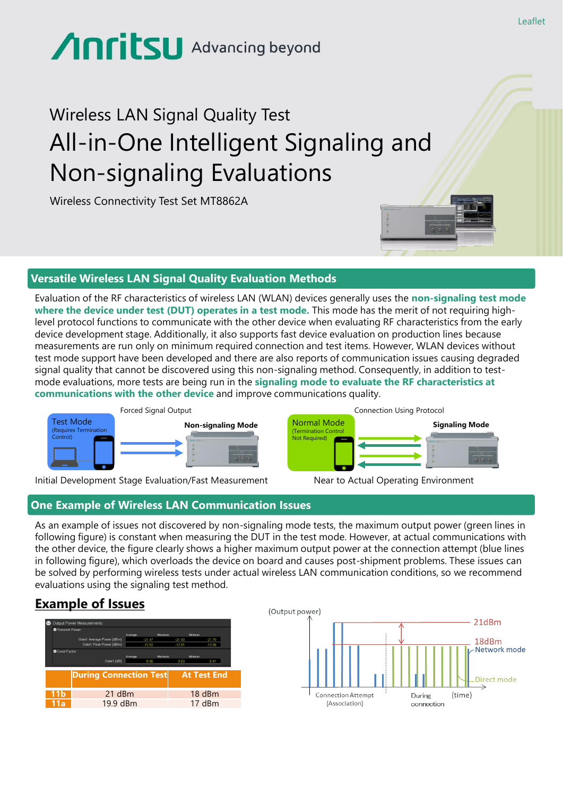# Anritsu Advancing beyond

# Wireless LAN Signal Quality Test All-in-One Intelligent Signaling and Non-signaling Evaluations

Wireless Connectivity Test Set MT8862A

#### **Versatile Wireless LAN Signal Quality Evaluation Methods**

Evaluation of the RF characteristics of wireless LAN (WLAN) devices generally uses the **non-signaling test mode where the device under test (DUT) operates in a test mode.** This mode has the merit of not requiring highlevel protocol functions to communicate with the other device when evaluating RF characteristics from the early device development stage. Additionally, it also supports fast device evaluation on production lines because measurements are run only on minimum required connection and test items. However, WLAN devices without test mode support have been developed and there are also reports of communication issues causing degraded signal quality that cannot be discovered using this non-signaling method. Consequently, in addition to testmode evaluations, more tests are being run in the **signaling mode to evaluate the RF characteristics at communications with the other device** and improve communications quality.



Initial Development Stage Evaluation/Fast Measurement Near to Actual Operating Environment

#### **One Example of Wireless LAN Communication Issues**

As an example of issues not discovered by non-signaling mode tests, the maximum output power (green lines in following figure) is constant when measuring the DUT in the test mode. However, at actual communications with the other device, the figure clearly shows a higher maximum output power at the connection attempt (blue lines in following figure), which overloads the device on board and causes post-shipment problems. These issues can be solved by performing wireless tests under actual wireless LAN communication conditions, so we recommend evaluations using the signaling test method.

# **Example of Issues**

|                | Output Power Measurements                           |                      |         |                      |                      |
|----------------|-----------------------------------------------------|----------------------|---------|----------------------|----------------------|
| Transmit Power |                                                     |                      |         |                      |                      |
|                |                                                     | Average              | Maximum | Minimum              |                      |
|                | Gate1 Average Power [dBm]<br>Gate1 Peak Power [dBm] | $-21.47$<br>$-12.92$ |         | $-21.43$<br>$-12.81$ | $-21.70$<br>$-13.08$ |
|                |                                                     |                      |         |                      |                      |
| Crest Factor   |                                                     | Average              | Maximum | Minimum              |                      |
|                |                                                     |                      |         |                      |                      |
|                | Gate1 [dB]                                          | 8.56                 |         | 8.63                 | 8.41                 |
|                |                                                     |                      |         |                      |                      |
|                |                                                     |                      |         |                      |                      |
|                | <b>During Connection Test</b>                       |                      |         |                      | <b>At Test End</b>   |
|                |                                                     |                      |         |                      |                      |
|                |                                                     |                      |         |                      |                      |
| 11b            | 21 dBm                                              |                      |         |                      | 18 dBm               |
| 11a            | 19.9 dBm                                            |                      |         |                      | 17 dBm               |